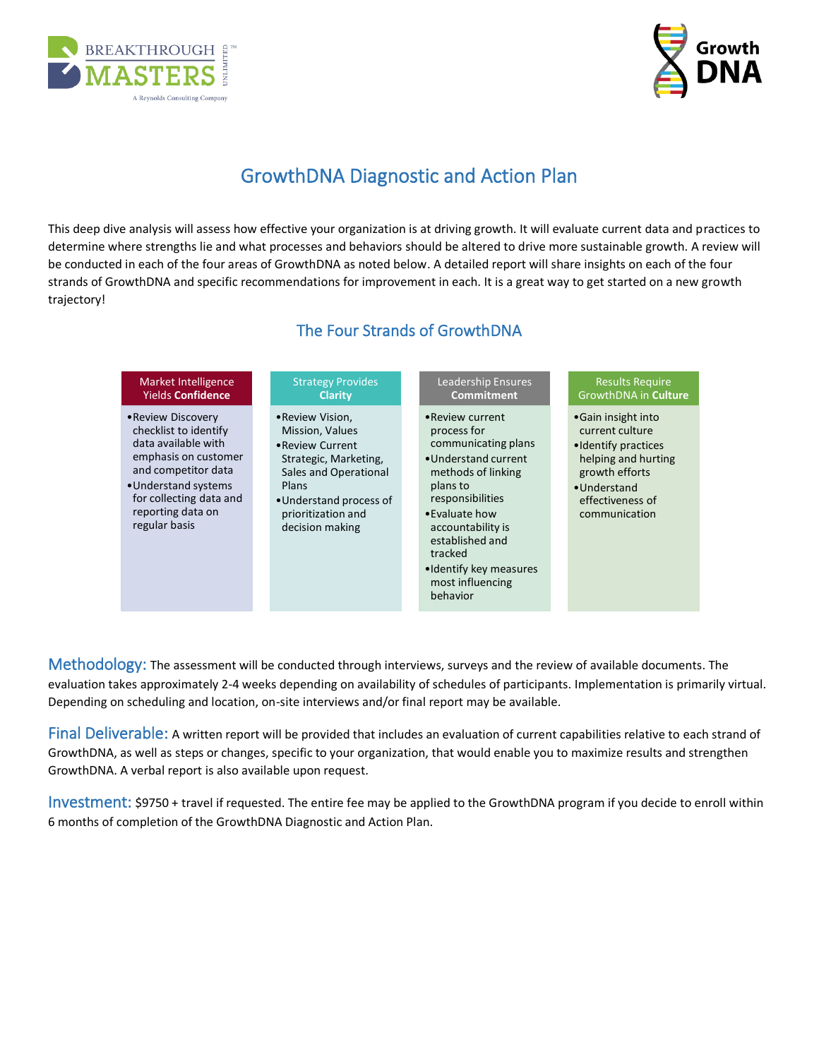



# GrowthDNA Diagnostic and Action Plan

This deep dive analysis will assess how effective your organization is at driving growth. It will evaluate current data and practices to determine where strengths lie and what processes and behaviors should be altered to drive more sustainable growth. A review will be conducted in each of the four areas of GrowthDNA as noted below. A detailed report will share insights on each of the four strands of GrowthDNA and specific recommendations for improvement in each. It is a great way to get started on a new growth trajectory!

### The Four Strands of GrowthDNA

| Market Intelligence                                                                                                                                                                                        | <b>Strategy Provides</b>                                                                                                                                                              | <b>Leadership Ensures</b>                                                                                                                                                                                                                                           | <b>Results Require</b>                                                                                                                                      |
|------------------------------------------------------------------------------------------------------------------------------------------------------------------------------------------------------------|---------------------------------------------------------------------------------------------------------------------------------------------------------------------------------------|---------------------------------------------------------------------------------------------------------------------------------------------------------------------------------------------------------------------------------------------------------------------|-------------------------------------------------------------------------------------------------------------------------------------------------------------|
| <b>Yields Confidence</b>                                                                                                                                                                                   | <b>Clarity</b>                                                                                                                                                                        | <b>Commitment</b>                                                                                                                                                                                                                                                   | GrowthDNA in Culture                                                                                                                                        |
| • Review Discovery<br>checklist to identify<br>data available with<br>emphasis on customer<br>and competitor data<br>• Understand systems<br>for collecting data and<br>reporting data on<br>regular basis | • Review Vision,<br>Mission, Values<br>• Review Current<br>Strategic, Marketing,<br>Sales and Operational<br>Plans<br>•Understand process of<br>prioritization and<br>decision making | • Review current<br>process for<br>communicating plans<br>• Understand current<br>methods of linking<br>plans to<br>responsibilities<br>• Evaluate how<br>accountability is<br>established and<br>tracked<br>•Identify key measures<br>most influencing<br>behavior | • Gain insight into<br>current culture<br>• Identify practices<br>helping and hurting<br>growth efforts<br>•Understand<br>effectiveness of<br>communication |

Methodology: The assessment will be conducted through interviews, surveys and the review of available documents. The evaluation takes approximately 2-4 weeks depending on availability of schedules of participants. Implementation is primarily virtual. Depending on scheduling and location, on-site interviews and/or final report may be available.

Final Deliverable: A written report will be provided that includes an evaluation of current capabilities relative to each strand of GrowthDNA, as well as steps or changes, specific to your organization, that would enable you to maximize results and strengthen GrowthDNA. A verbal report is also available upon request.

Investment: \$9750 + travel if requested. The entire fee may be applied to the GrowthDNA program if you decide to enroll within 6 months of completion of the GrowthDNA Diagnostic and Action Plan.